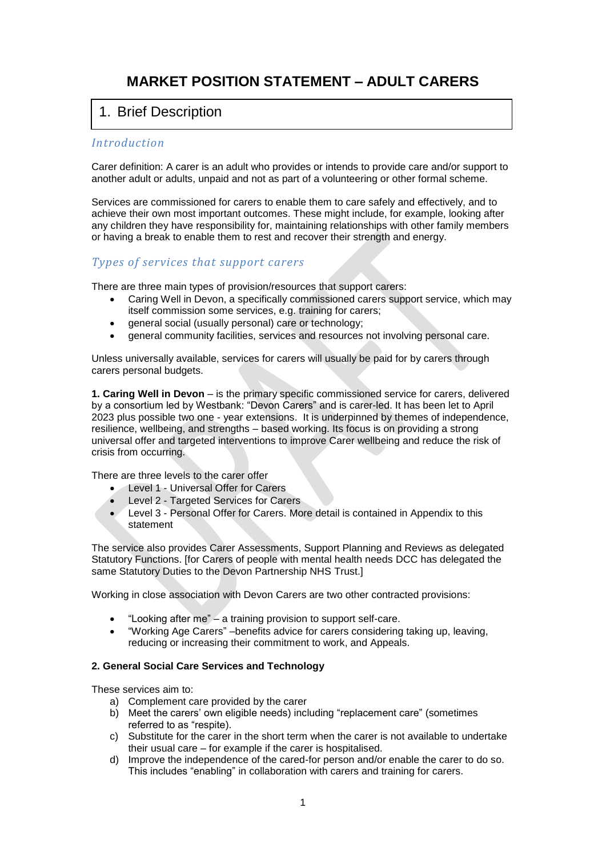# **MARKET POSITION STATEMENT – ADULT CARERS**

# 1. Brief Description

# *Introduction*

Carer definition: A carer is an adult who provides or intends to provide care and/or support to another adult or adults, unpaid and not as part of a volunteering or other formal scheme.

Services are commissioned for carers to enable them to care safely and effectively, and to achieve their own most important outcomes. These might include, for example, looking after any children they have responsibility for, maintaining relationships with other family members or having a break to enable them to rest and recover their strength and energy.

# *Types of services that support carers*

There are three main types of provision/resources that support carers:

- Caring Well in Devon, a specifically commissioned carers support service, which may itself commission some services, e.g. training for carers;
- general social (usually personal) care or technology;
- general community facilities, services and resources not involving personal care.

Unless universally available, services for carers will usually be paid for by carers through carers personal budgets.

**1. Caring Well in Devon** – is the primary specific commissioned service for carers, delivered by a consortium led by Westbank: "Devon Carers" and is carer-led. It has been let to April 2023 plus possible two one - year extensions. It is underpinned by themes of independence, resilience, wellbeing, and strengths – based working. Its focus is on providing a strong universal offer and targeted interventions to improve Carer wellbeing and reduce the risk of crisis from occurring.

There are three levels to the carer offer

- Level 1 Universal Offer for Carers
- Level 2 Targeted Services for Carers
- Level 3 Personal Offer for Carers. More detail is contained in Appendix to this statement

The service also provides Carer Assessments, Support Planning and Reviews as delegated Statutory Functions. [for Carers of people with mental health needs DCC has delegated the same Statutory Duties to the Devon Partnership NHS Trust.]

Working in close association with Devon Carers are two other contracted provisions:

- "Looking after me" a training provision to support self-care.
- "Working Age Carers" –benefits advice for carers considering taking up, leaving, reducing or increasing their commitment to work, and Appeals.

## **2. General Social Care Services and Technology**

These services aim to:

- a) Complement care provided by the carer
- b) Meet the carers' own eligible needs) including "replacement care" (sometimes referred to as "respite).
- c) Substitute for the carer in the short term when the carer is not available to undertake their usual care – for example if the carer is hospitalised.
- d) Improve the independence of the cared-for person and/or enable the carer to do so. This includes "enabling" in collaboration with carers and training for carers.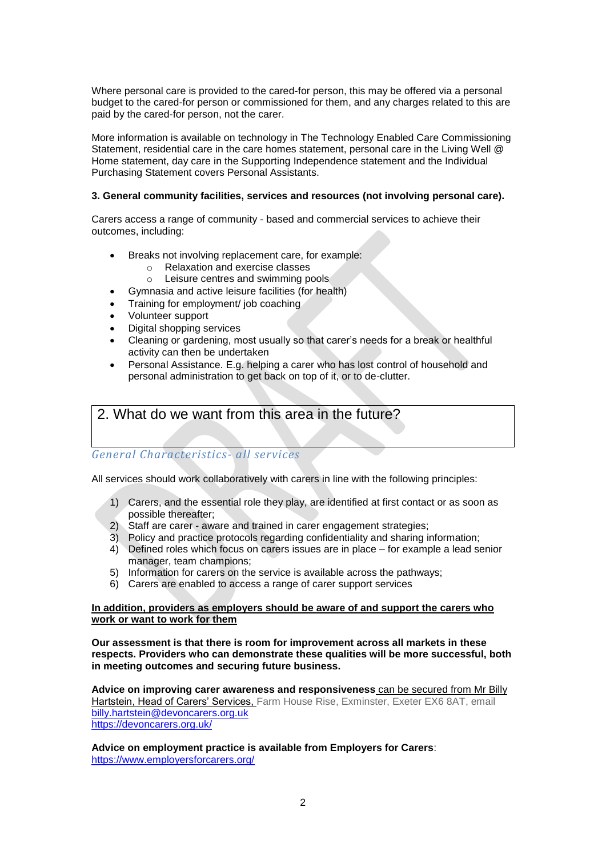Where personal care is provided to the cared-for person, this may be offered via a personal budget to the cared-for person or commissioned for them, and any charges related to this are paid by the cared-for person, not the carer.

More information is available on technology in The Technology Enabled Care Commissioning Statement, residential care in the care homes statement, personal care in the Living Well @ Home statement, day care in the Supporting Independence statement and the Individual Purchasing Statement covers Personal Assistants.

#### **3. General community facilities, services and resources (not involving personal care).**

Carers access a range of community - based and commercial services to achieve their outcomes, including:

- Breaks not involving replacement care, for example:
	- o Relaxation and exercise classes<br>
	o Leisure centres and swimming per
	- Leisure centres and swimming pools
- Gymnasia and active leisure facilities (for health)
- Training for employment/ job coaching
- Volunteer support
- Digital shopping services
- Cleaning or gardening, most usually so that carer's needs for a break or healthful activity can then be undertaken
- Personal Assistance. E.g. helping a carer who has lost control of household and personal administration to get back on top of it, or to de-clutter.

# 2. What do we want from this area in the future?

## *General Characteristics- all services*

All services should work collaboratively with carers in line with the following principles:

- 1) Carers, and the essential role they play, are identified at first contact or as soon as possible thereafter;
- 2) Staff are carer aware and trained in carer engagement strategies;
- 3) Policy and practice protocols regarding confidentiality and sharing information;
- 4) Defined roles which focus on carers issues are in place for example a lead senior manager, team champions;
- 5) Information for carers on the service is available across the pathways;
- 6) Carers are enabled to access a range of carer support services

#### **In addition, providers as employers should be aware of and support the carers who work or want to work for them**

**Our assessment is that there is room for improvement across all markets in these respects. Providers who can demonstrate these qualities will be more successful, both in meeting outcomes and securing future business.** 

**Advice on improving carer awareness and responsiveness** can be secured from Mr Billy Hartstein, Head of Carers' Services, Farm House Rise, Exminster, Exeter EX6 8AT, email [billy.hartstein@devoncarers.org.uk](mailto:billy.hartstein@devoncarers.org.uk) <https://devoncarers.org.uk/>

**Advice on employment practice is available from Employers for Carers**: <https://www.employersforcarers.org/>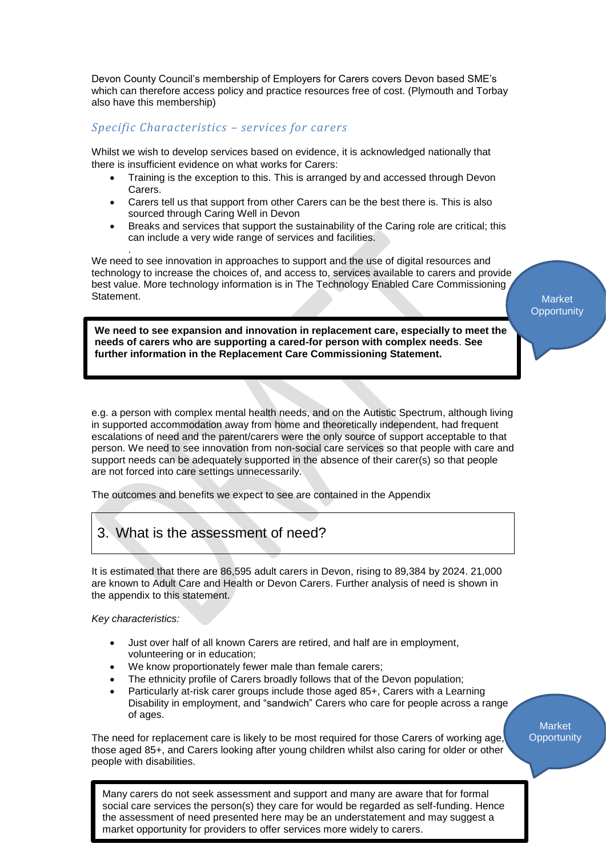Devon County Council's membership of Employers for Carers covers Devon based SME's which can therefore access policy and practice resources free of cost. (Plymouth and Torbay also have this membership)

# *Specific Characteristics – services for carers*

Whilst we wish to develop services based on evidence, it is acknowledged nationally that there is insufficient evidence on what works for Carers:

- Training is the exception to this. This is arranged by and accessed through Devon Carers.
- Carers tell us that support from other Carers can be the best there is. This is also sourced through Caring Well in Devon
- Breaks and services that support the sustainability of the Caring role are critical; this can include a very wide range of services and facilities.

We need to see innovation in approaches to support and the use of digital resources and technology to increase the choices of, and access to, services available to carers and provide best value. More technology information is in The Technology Enabled Care Commissioning Statement.

**Market Opportunity** 

**We need to see expansion and innovation in replacement care, especially to meet the needs of carers who are supporting a cared-for person with complex needs**. **See further information in the Replacement Care Commissioning Statement.**

e.g. a person with complex mental health needs, and on the Autistic Spectrum, although living in supported accommodation away from home and theoretically independent, had frequent escalations of need and the parent/carers were the only source of support acceptable to that person. We need to see innovation from non-social care services so that people with care and support needs can be adequately supported in the absence of their carer(s) so that people are not forced into care settings unnecessarily.

The outcomes and benefits we expect to see are contained in the Appendix

# 3. What is the assessment of need?

It is estimated that there are 86,595 adult carers in Devon, rising to 89,384 by 2024. 21,000 are known to Adult Care and Health or Devon Carers. Further analysis of need is shown in the appendix to this statement.

*Key characteristics:*

.

- Just over half of all known Carers are retired, and half are in employment, volunteering or in education;
- We know proportionately fewer male than female carers;
- The ethnicity profile of Carers broadly follows that of the Devon population;
- Particularly at-risk carer groups include those aged 85+, Carers with a Learning Disability in employment, and "sandwich" Carers who care for people across a range of ages.

The need for replacement care is likely to be most required for those Carers of working age, those aged 85+, and Carers looking after young children whilst also caring for older or other people with disabilities.

Market **Opportunity** 

social care services the person(s) they care for would be regarded as self-funding. Hence Many carers do not seek assessment and support and many are aware that for formal the assessment of need presented here may be an understatement and may suggest a market opportunity for providers to offer services more widely to carers.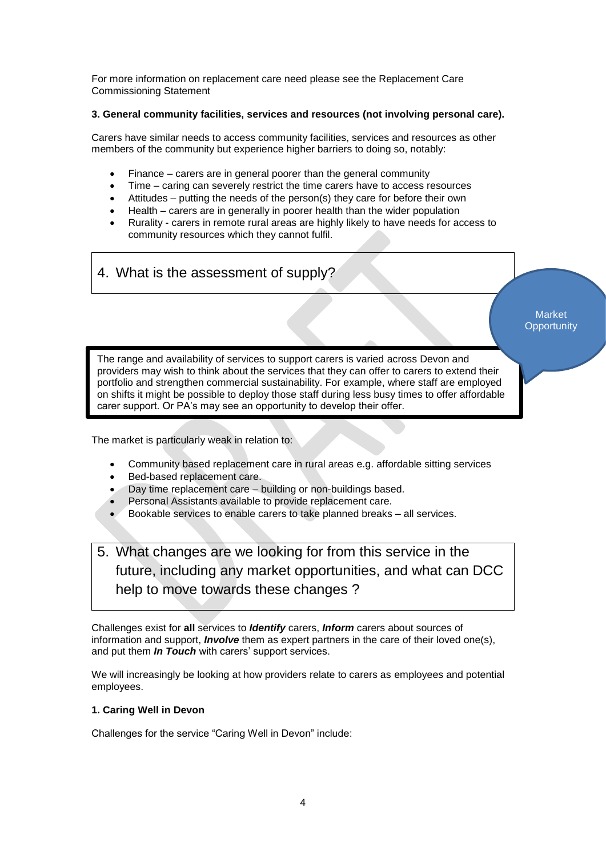For more information on replacement care need please see the Replacement Care Commissioning Statement

# **3. General community facilities, services and resources (not involving personal care).**

Carers have similar needs to access community facilities, services and resources as other members of the community but experience higher barriers to doing so, notably:

- Finance carers are in general poorer than the general community
- Time caring can severely restrict the time carers have to access resources
- Attitudes putting the needs of the person(s) they care for before their own
- Health carers are in generally in poorer health than the wider population
- Rurality carers in remote rural areas are highly likely to have needs for access to community resources which they cannot fulfil.

# 4. What is the assessment of supply?

**Market Opportunity** 

The range and availability of services to support carers is varied across Devon and providers may wish to think about the services that they can offer to carers to extend their portfolio and strengthen commercial sustainability. For example, where staff are employed on shifts it might be possible to deploy those staff during less busy times to offer affordable carer support. Or PA's may see an opportunity to develop their offer.

The market is particularly weak in relation to:

- Community based replacement care in rural areas e.g. affordable sitting services
- Bed-based replacement care.
- Day time replacement care building or non-buildings based.
- Personal Assistants available to provide replacement care.
- Bookable services to enable carers to take planned breaks all services.

5. What changes are we looking for from this service in the future, including any market opportunities, and what can DCC help to move towards these changes ?

Challenges exist for **all** services to *Identify* carers, *Inform* carers about sources of information and support, *Involve* them as expert partners in the care of their loved one(s), and put them *In Touch* with carers' support services.

We will increasingly be looking at how providers relate to carers as employees and potential employees.

# **1. Caring Well in Devon**

Challenges for the service "Caring Well in Devon" include: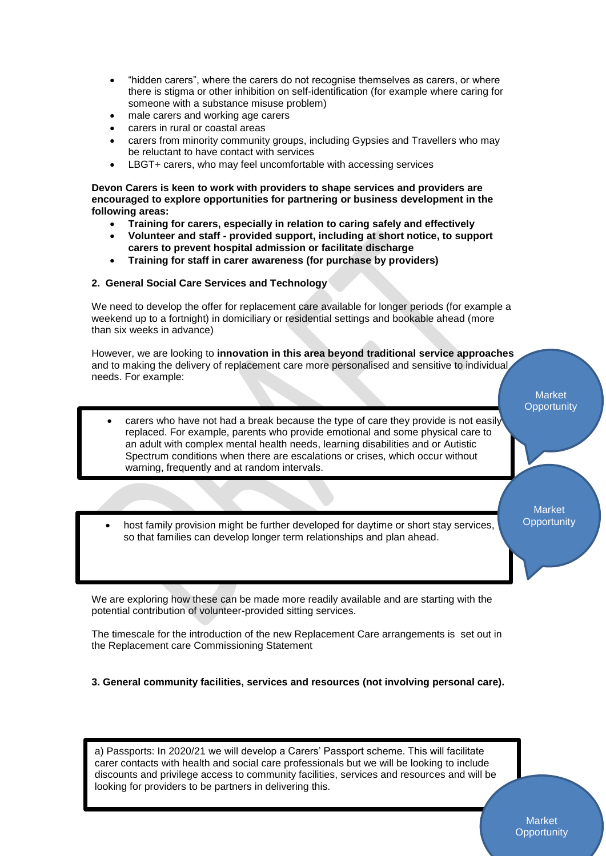- "hidden carers", where the carers do not recognise themselves as carers, or where there is stigma or other inhibition on self-identification (for example where caring for someone with a substance misuse problem)
- male carers and working age carers
- carers in rural or coastal areas
- carers from minority community groups, including Gypsies and Travellers who may be reluctant to have contact with services
- LBGT+ carers, who may feel uncomfortable with accessing services

**Devon Carers is keen to work with providers to shape services and providers are encouraged to explore opportunities for partnering or business development in the following areas:**

- **Training for carers, especially in relation to caring safely and effectively**
- **Volunteer and staff - provided support, including at short notice, to support carers to prevent hospital admission or facilitate discharge**
- **Training for staff in carer awareness (for purchase by providers)**

### **2. General Social Care Services and Technology**

 $\mathbb{R}^n$  would be adequate.

•

We need to develop the offer for replacement care available for longer periods (for example a weekend up to a fortnight) in domiciliary or residential settings and bookable ahead (more than six weeks in advance)

However, we are looking to **innovation in this area beyond traditional service approaches** and to making the delivery of replacement care more personalised and sensitive to individual needs. For example:

- carers who have not had a break because the type of care they provide is not easily replaced. For example, parents who provide emotional and some physical care to an adult with complex mental health needs, learning disabilities and or Autistic Spectrum conditions when there are escalations or crises, which occur without warning, frequently and at random intervals.
- host family provision might be further developed for daytime or short stay services, so that families can develop longer term relationships and plan ahead.

We are exploring how these can be made more readily available and are starting with the potential contribution of volunteer-provided sitting services.

The timescale for the introduction of the new Replacement Care arrangements is set out in the Replacement care Commissioning Statement

**3. General community facilities, services and resources (not involving personal care).**

a) Passports: In 2020/21 we will develop a Carers' Passport scheme. This will facilitate carer contacts with health and social care professionals but we will be looking to include discounts and privilege access to community facilities, services and resources and will be looking for providers to be partners in delivering this.

5

Market **Opportunity** 

**Market Opportunity**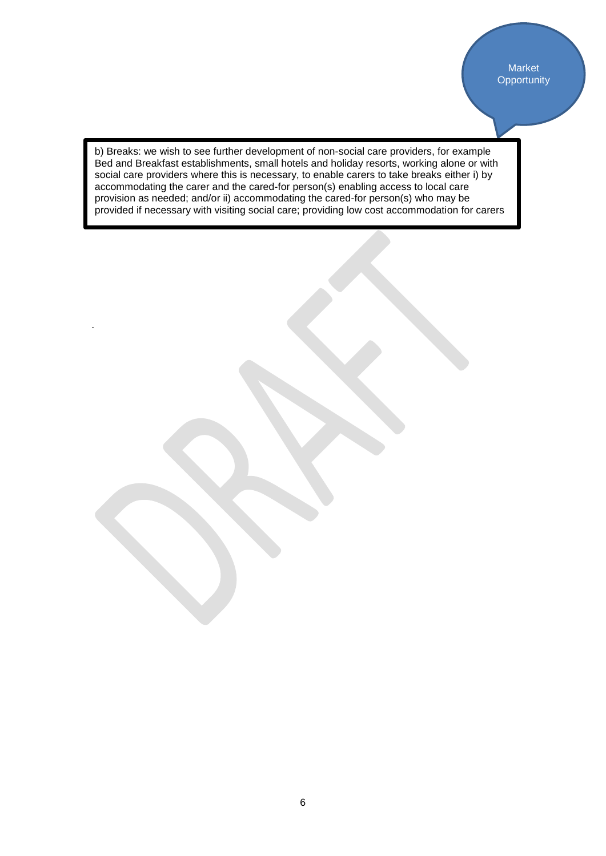b) Breaks: we wish to see further development of non-social care providers, for example Bed and Breakfast establishments, small hotels and holiday resorts, working alone or with social care providers where this is necessary, to enable carers to take breaks either i) by accommodating the carer and the cared-for person(s) enabling access to local care provision as needed; and/or ii) accommodating the cared-for person(s) who may be provided if necessary with visiting social care; providing low cost accommodation for carers

.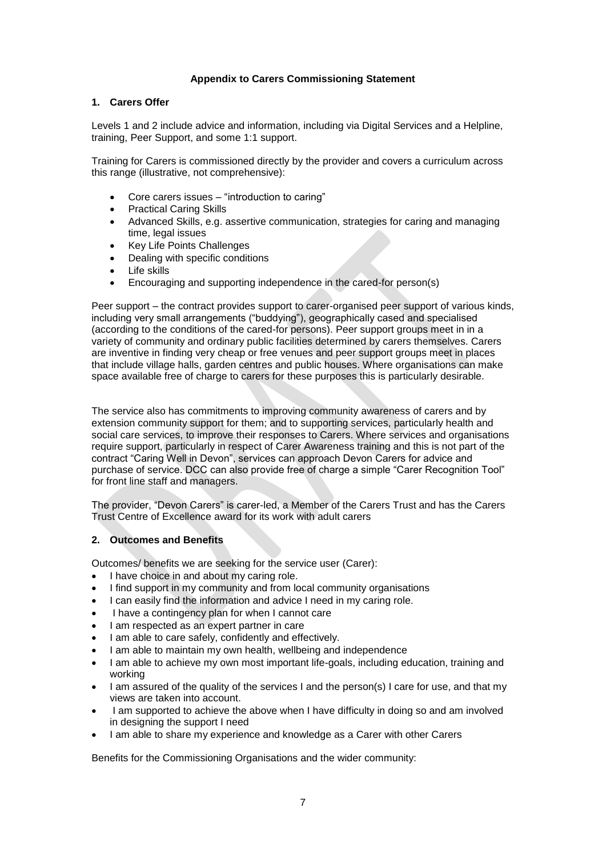## **Appendix to Carers Commissioning Statement**

# **1. Carers Offer**

Levels 1 and 2 include advice and information, including via Digital Services and a Helpline, training, Peer Support, and some 1:1 support.

Training for Carers is commissioned directly by the provider and covers a curriculum across this range (illustrative, not comprehensive):

- Core carers issues "introduction to caring"
- Practical Caring Skills
- Advanced Skills, e.g. assertive communication, strategies for caring and managing time, legal issues
- Key Life Points Challenges
- Dealing with specific conditions
- Life skills
- Encouraging and supporting independence in the cared-for person(s)

Peer support – the contract provides support to carer-organised peer support of various kinds, including very small arrangements ("buddying"), geographically cased and specialised (according to the conditions of the cared-for persons). Peer support groups meet in in a variety of community and ordinary public facilities determined by carers themselves. Carers are inventive in finding very cheap or free venues and peer support groups meet in places that include village halls, garden centres and public houses. Where organisations can make space available free of charge to carers for these purposes this is particularly desirable.

The service also has commitments to improving community awareness of carers and by extension community support for them; and to supporting services, particularly health and social care services, to improve their responses to Carers. Where services and organisations require support, particularly in respect of Carer Awareness training and this is not part of the contract "Caring Well in Devon", services can approach Devon Carers for advice and purchase of service. DCC can also provide free of charge a simple "Carer Recognition Tool" for front line staff and managers.

The provider, "Devon Carers" is carer-led, a Member of the Carers Trust and has the Carers Trust Centre of Excellence award for its work with adult carers

### **2. Outcomes and Benefits**

Outcomes/ benefits we are seeking for the service user (Carer):

- I have choice in and about my caring role.
- I find support in my community and from local community organisations
- I can easily find the information and advice I need in my caring role.
- I have a contingency plan for when I cannot care
- I am respected as an expert partner in care
- I am able to care safely, confidently and effectively.
- I am able to maintain my own health, wellbeing and independence
- I am able to achieve my own most important life-goals, including education, training and working
- I am assured of the quality of the services I and the person(s) I care for use, and that my views are taken into account.
- I am supported to achieve the above when I have difficulty in doing so and am involved in designing the support I need
- I am able to share my experience and knowledge as a Carer with other Carers

Benefits for the Commissioning Organisations and the wider community: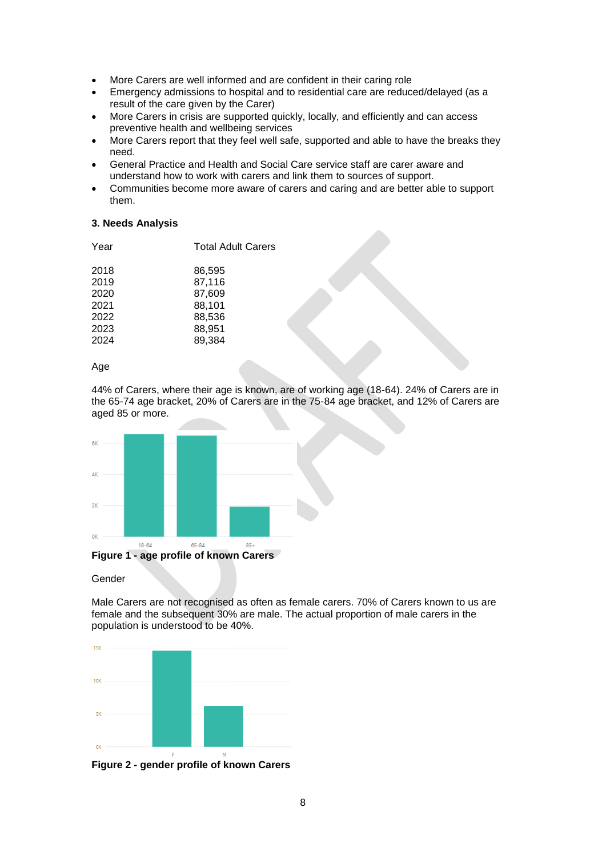- More Carers are well informed and are confident in their caring role
- Emergency admissions to hospital and to residential care are reduced/delayed (as a result of the care given by the Carer)
- More Carers in crisis are supported quickly, locally, and efficiently and can access preventive health and wellbeing services
- More Carers report that they feel well safe, supported and able to have the breaks they need.
- General Practice and Health and Social Care service staff are carer aware and understand how to work with carers and link them to sources of support.
- Communities become more aware of carers and caring and are better able to support them.

### **3. Needs Analysis**

| Year | <b>Total Adult Carers</b> |  |
|------|---------------------------|--|
| 2018 | 86.595                    |  |
| 2019 | 87,116                    |  |
| 2020 | 87,609                    |  |
| 2021 | 88,101                    |  |
| 2022 | 88,536                    |  |
| 2023 | 88,951                    |  |
| 2024 | 89,384                    |  |
|      |                           |  |

Age

44% of Carers, where their age is known, are of working age (18-64). 24% of Carers are in the 65-74 age bracket, 20% of Carers are in the 75-84 age bracket, and 12% of Carers are aged 85 or more.



#### Gender

Male Carers are not recognised as often as female carers. 70% of Carers known to us are female and the subsequent 30% are male. The actual proportion of male carers in the population is understood to be 40%.

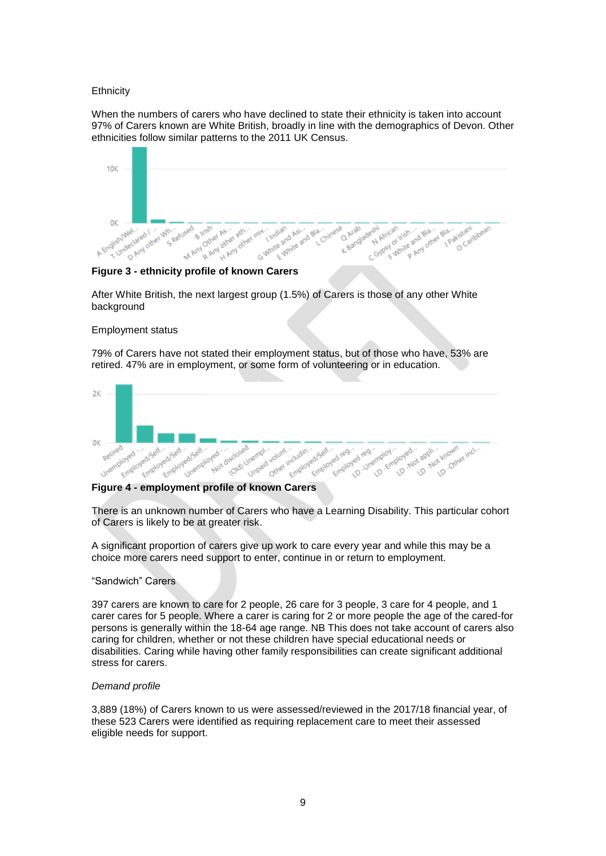#### **Ethnicity**

When the numbers of carers who have declined to state their ethnicity is taken into account 97% of Carers known are White British, broadly in line with the demographics of Devon. Other ethnicities follow similar patterns to the 2011 UK Census.



After White British, the next largest group (1.5%) of Carers is those of any other White background

#### Employment status

79% of Carers have not stated their employment status, but of those who have, 53% are retired. 47% are in employment, or some form of volunteering or in education.



There is an unknown number of Carers who have a Learning Disability. This particular cohort of Carers is likely to be at greater risk.

A significant proportion of carers give up work to care every year and while this may be a choice more carers need support to enter, continue in or return to employment.

#### "Sandwich" Carers

397 carers are known to care for 2 people, 26 care for 3 people, 3 care for 4 people, and 1 carer cares for 5 people. Where a carer is caring for 2 or more people the age of the cared-for persons is generally within the 18-64 age range. NB This does not take account of carers also caring for children, whether or not these children have special educational needs or disabilities. Caring while having other family responsibilities can create significant additional stress for carers.

#### *Demand profile*

3,889 (18%) of Carers known to us were assessed/reviewed in the 2017/18 financial year, of these 523 Carers were identified as requiring replacement care to meet their assessed eligible needs for support.